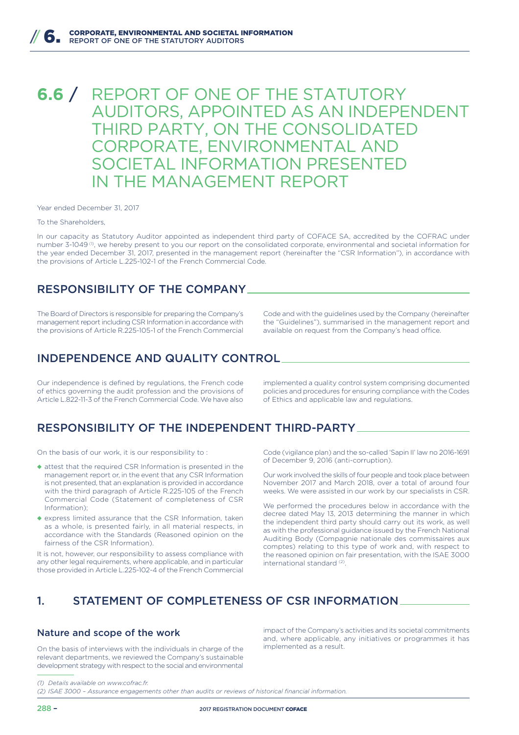# **6.6** / REPORT OF ONE OF THE STATUTORY AUDITORS , APPOINTED AS AN INDEPENDENT THIRD PARTY, ON THE CONSOLIDATED CORPORATE, ENVIRONMENTAL AND SOCIETAL INFORMATION PRESENTED IN THE MANAGEMENT REPORT

Year ended December 31, 2017

#### To the Shareholders,

In our capacity as Statutory Auditor appointed as independent third party of COFACE SA, accredited by the COFRAC under number 3-1049 (1), we hereby present to you our report on the consolidated corporate, environmental and societal information for the year ended December 31, 2017, presented in the management report (hereinafter the "CSR Information"), in accordance with the provisions of Article L.225-102-1 of the French Commercial Code.

### RESPONSIBILITY OF THE COMPANY

The Board of Directors is responsible for preparing the Company's management report including CSR Information in accordance with the provisions of Article R.225-105-1 of the French Commercial

Code and with the guidelines used by the Company (hereinafter the "Guidelines"), summarised in the management report and available on request from the Company's head office.

### INDEPENDENCE AND QUALITY CONTROL

Our independence is defined by regulations, the French code of ethics governing the audit profession and the provisions of Article L.822-11-3 of the French Commercial Code. We have also

implemented a quality control system comprising documented policies and procedures for ensuring compliance with the Codes of Ethics and applicable law and regulations.

### RESPONSIBILITY OF THE INDEPENDENT THIRD-PARTY

On the basis of our work, it is our responsibility to :

- ◆ attest that the required CSR Information is presented in the management report or, in the event that any CSR Information is not presented, that an explanation is provided in accordance with the third paragraph of Article R.225-105 of the French Commercial Code (Statement of completeness of CSR Information);
- ◆ express limited assurance that the CSR Information, taken as a whole, is presented fairly, in all material respects, in accordance with the Standards (Reasoned opinion on the fairness of the CSR Information).

It is not, however, our responsibility to assess compliance with any other legal requirements, where applicable, and in particular those provided in Article L.225-102-4 of the French Commercial Code (vigilance plan) and the so-called 'Sapin II' law no 2016-1691 of December 9, 2016 (anti-corruption).

Our work involved the skills of four people and took place between November 2017 and March 2018, over a total of around four weeks. We were assisted in our work by our specialists in CSR.

We performed the procedures below in accordance with the decree dated May 13, 2013 determining the manner in which the independent third party should carry out its work, as well as with the professional guidance issued by the French National Auditing Body (Compagnie nationale des commissaires aux comptes) relating to this type of work and, with respect to the reasoned opinion on fair presentation, with the ISAE 3000 international standard<sup>(2)</sup>.

## 1. STATEMENT OF COMPLETENESS OF CSR INFORMATION

#### Nature and scope of the work

On the basis of interviews with the individuals in charge of the relevant departments, we reviewed the Company's sustainable development strategy with respect to the social and environmental impact of the Company's activities and its societal commitments and, where applicable, any initiatives or programmes it has implemented as a result.

*<sup>(1)</sup> Details available on www.cofrac.fr.*

*<sup>(2)</sup> ISAE 3000 – Assurance engagements other than audits or reviews of historical financial information.*